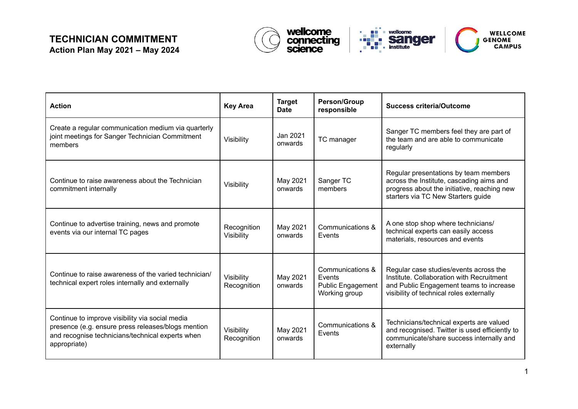

| <b>Action</b>                                                                                                                                                             | <b>Key Area</b>           | <b>Target</b><br><b>Date</b> | <b>Person/Group</b><br>responsible                                      | <b>Success criteria/Outcome</b>                                                                                                                                            |
|---------------------------------------------------------------------------------------------------------------------------------------------------------------------------|---------------------------|------------------------------|-------------------------------------------------------------------------|----------------------------------------------------------------------------------------------------------------------------------------------------------------------------|
| Create a regular communication medium via quarterly<br>joint meetings for Sanger Technician Commitment<br>members                                                         | Visibility                | Jan 2021<br>onwards          | TC manager                                                              | Sanger TC members feel they are part of<br>the team and are able to communicate<br>regularly                                                                               |
| Continue to raise awareness about the Technician<br>commitment internally                                                                                                 | Visibility                | May 2021<br>onwards          | Sanger TC<br>members                                                    | Regular presentations by team members<br>across the Institute, cascading aims and<br>progress about the initiative, reaching new<br>starters via TC New Starters guide     |
| Continue to advertise training, news and promote<br>events via our internal TC pages                                                                                      | Recognition<br>Visibility | May 2021<br>onwards          | Communications &<br>Events                                              | A one stop shop where technicians/<br>technical experts can easily access<br>materials, resources and events                                                               |
| Continue to raise awareness of the varied technician/<br>technical expert roles internally and externally                                                                 | Visibility<br>Recognition | May 2021<br>onwards          | Communications &<br>Events<br><b>Public Engagement</b><br>Working group | Regular case studies/events across the<br>Institute, Collaboration with Recruitment<br>and Public Engagement teams to increase<br>visibility of technical roles externally |
| Continue to improve visibility via social media<br>presence (e.g. ensure press releases/blogs mention<br>and recognise technicians/technical experts when<br>appropriate) | Visibility<br>Recognition | May 2021<br>onwards          | Communications &<br>Events                                              | Technicians/technical experts are valued<br>and recognised. Twitter is used efficiently to<br>communicate/share success internally and<br>externally                       |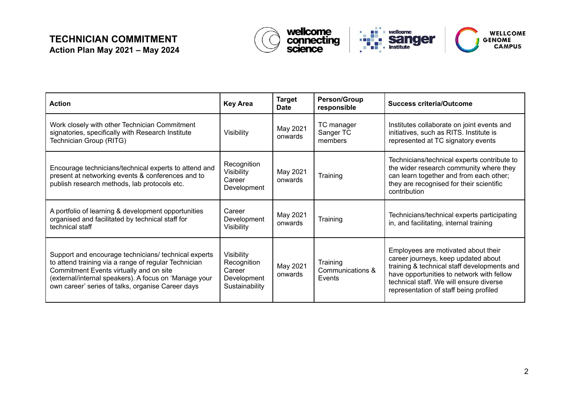

| <b>Action</b>                                                                                                                                                                                                                                                         | <b>Key Area</b>                                                      | <b>Target</b><br><b>Date</b> | <b>Person/Group</b><br>responsible     | <b>Success criteria/Outcome</b>                                                                                                                                                                                                                             |
|-----------------------------------------------------------------------------------------------------------------------------------------------------------------------------------------------------------------------------------------------------------------------|----------------------------------------------------------------------|------------------------------|----------------------------------------|-------------------------------------------------------------------------------------------------------------------------------------------------------------------------------------------------------------------------------------------------------------|
| Work closely with other Technician Commitment<br>signatories, specifically with Research Institute<br>Technician Group (RITG)                                                                                                                                         | Visibility                                                           | May 2021<br>onwards          | TC manager<br>Sanger TC<br>members     | Institutes collaborate on joint events and<br>initiatives, such as RITS. Institute is<br>represented at TC signatory events                                                                                                                                 |
| Encourage technicians/technical experts to attend and<br>present at networking events & conferences and to<br>publish research methods, lab protocols etc.                                                                                                            | Recognition<br>Visibility<br>Career<br>Development                   | May 2021<br>onwards          | Training                               | Technicians/technical experts contribute to<br>the wider research community where they<br>can learn together and from each other;<br>they are recognised for their scientific<br>contribution                                                               |
| A portfolio of learning & development opportunities<br>organised and facilitated by technical staff for<br>technical staff                                                                                                                                            | Career<br>Development<br>Visibility                                  | May 2021<br>onwards          | Training                               | Technicians/technical experts participating<br>in, and facilitating, internal training                                                                                                                                                                      |
| Support and encourage technicians/ technical experts<br>to attend training via a range of regular Technician<br>Commitment Events virtually and on site<br>(external/internal speakers). A focus on 'Manage your<br>own career' series of talks, organise Career days | Visibility<br>Recognition<br>Career<br>Development<br>Sustainability | May 2021<br>onwards          | Training<br>Communications &<br>Events | Employees are motivated about their<br>career journeys, keep updated about<br>training & technical staff developments and<br>have opportunities to network with fellow<br>technical staff. We will ensure diverse<br>representation of staff being profiled |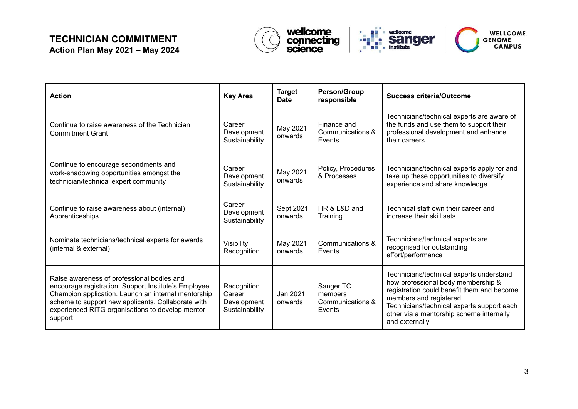

| <b>Action</b>                                                                                                                                                                                                                                                                  | <b>Key Area</b>                                        | <b>Target</b><br><b>Date</b> | <b>Person/Group</b><br>responsible                 | <b>Success criteria/Outcome</b>                                                                                                                                                                                                                                     |
|--------------------------------------------------------------------------------------------------------------------------------------------------------------------------------------------------------------------------------------------------------------------------------|--------------------------------------------------------|------------------------------|----------------------------------------------------|---------------------------------------------------------------------------------------------------------------------------------------------------------------------------------------------------------------------------------------------------------------------|
| Continue to raise awareness of the Technician<br><b>Commitment Grant</b>                                                                                                                                                                                                       | Career<br>Development<br>Sustainability                | May 2021<br>onwards          | Finance and<br>Communications &<br>Events          | Technicians/technical experts are aware of<br>the funds and use them to support their<br>professional development and enhance<br>their careers                                                                                                                      |
| Continue to encourage secondments and<br>work-shadowing opportunities amongst the<br>technician/technical expert community                                                                                                                                                     | Career<br>Development<br>Sustainability                | May 2021<br>onwards          | Policy, Procedures<br>& Processes                  | Technicians/technical experts apply for and<br>take up these opportunities to diversify<br>experience and share knowledge                                                                                                                                           |
| Continue to raise awareness about (internal)<br>Apprenticeships                                                                                                                                                                                                                | Career<br>Development<br>Sustainability                | Sept 2021<br>onwards         | HR & L&D and<br>Training                           | Technical staff own their career and<br>increase their skill sets                                                                                                                                                                                                   |
| Nominate technicians/technical experts for awards<br>(internal & external)                                                                                                                                                                                                     | Visibility<br>Recognition                              | May 2021<br>onwards          | Communications &<br>Events                         | Technicians/technical experts are<br>recognised for outstanding<br>effort/performance                                                                                                                                                                               |
| Raise awareness of professional bodies and<br>encourage registration. Support Institute's Employee<br>Champion application. Launch an internal mentorship<br>scheme to support new applicants. Collaborate with<br>experienced RITG organisations to develop mentor<br>support | Recognition<br>Career<br>Development<br>Sustainability | Jan 2021<br>onwards          | Sanger TC<br>members<br>Communications &<br>Events | Technicians/technical experts understand<br>how professional body membership &<br>registration could benefit them and become<br>members and registered.<br>Technicians/technical experts support each<br>other via a mentorship scheme internally<br>and externally |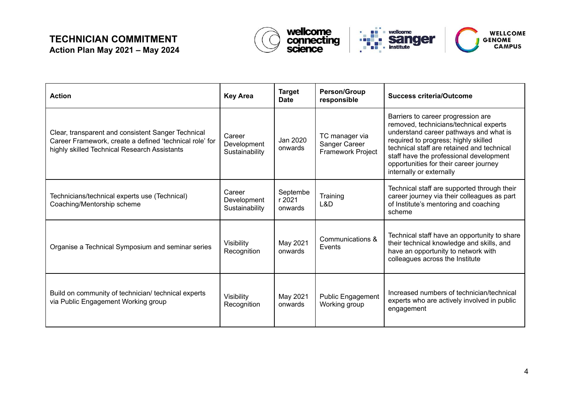

| <b>Action</b>                                                                                                                                                 | <b>Key Area</b>                         | <b>Target</b><br><b>Date</b>  | <b>Person/Group</b><br>responsible                   | <b>Success criteria/Outcome</b>                                                                                                                                                                                                                                                                                               |
|---------------------------------------------------------------------------------------------------------------------------------------------------------------|-----------------------------------------|-------------------------------|------------------------------------------------------|-------------------------------------------------------------------------------------------------------------------------------------------------------------------------------------------------------------------------------------------------------------------------------------------------------------------------------|
| Clear, transparent and consistent Sanger Technical<br>Career Framework, create a defined 'technical role' for<br>highly skilled Technical Research Assistants | Career<br>Development<br>Sustainability | Jan 2020<br>onwards           | TC manager via<br>Sanger Career<br>Framework Project | Barriers to career progression are<br>removed, technicians/technical experts<br>understand career pathways and what is<br>required to progress; highly skilled<br>technical staff are retained and technical<br>staff have the professional development<br>opportunities for their career journey<br>internally or externally |
| Technicians/technical experts use (Technical)<br>Coaching/Mentorship scheme                                                                                   | Career<br>Development<br>Sustainability | Septembe<br>r 2021<br>onwards | Training<br>L&D                                      | Technical staff are supported through their<br>career journey via their colleagues as part<br>of Institute's mentoring and coaching<br>scheme                                                                                                                                                                                 |
| Organise a Technical Symposium and seminar series                                                                                                             | Visibility<br>Recognition               | May 2021<br>onwards           | Communications &<br>Events                           | Technical staff have an opportunity to share<br>their technical knowledge and skills, and<br>have an opportunity to network with<br>colleagues across the Institute                                                                                                                                                           |
| Build on community of technician/ technical experts<br>via Public Engagement Working group                                                                    | Visibility<br>Recognition               | May 2021<br>onwards           | <b>Public Engagement</b><br>Working group            | Increased numbers of technician/technical<br>experts who are actively involved in public<br>engagement                                                                                                                                                                                                                        |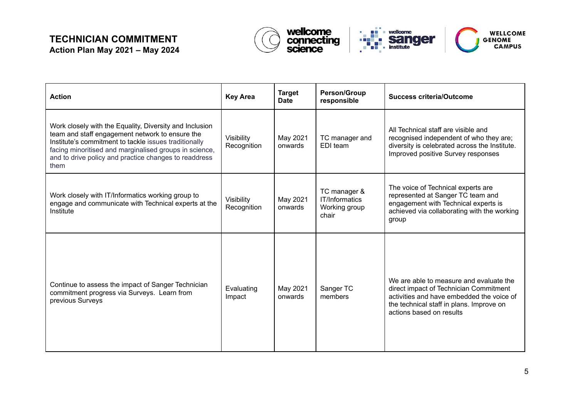

| <b>Action</b>                                                                                                                                                                                                                                                                                  | <b>Key Area</b>           | <b>Target</b><br><b>Date</b> | <b>Person/Group</b><br>responsible                       | <b>Success criteria/Outcome</b>                                                                                                                                                                        |
|------------------------------------------------------------------------------------------------------------------------------------------------------------------------------------------------------------------------------------------------------------------------------------------------|---------------------------|------------------------------|----------------------------------------------------------|--------------------------------------------------------------------------------------------------------------------------------------------------------------------------------------------------------|
| Work closely with the Equality, Diversity and Inclusion<br>team and staff engagement network to ensure the<br>Institute's commitment to tackle issues traditionally<br>facing minoritised and marginalised groups in science,<br>and to drive policy and practice changes to readdress<br>them | Visibility<br>Recognition | May 2021<br>onwards          | TC manager and<br>EDI team                               | All Technical staff are visible and<br>recognised independent of who they are;<br>diversity is celebrated across the Institute.<br>Improved positive Survey responses                                  |
| Work closely with IT/Informatics working group to<br>engage and communicate with Technical experts at the<br>Institute                                                                                                                                                                         | Visibility<br>Recognition | May 2021<br>onwards          | TC manager &<br>IT/Informatics<br>Working group<br>chair | The voice of Technical experts are<br>represented at Sanger TC team and<br>engagement with Technical experts is<br>achieved via collaborating with the working<br>group                                |
| Continue to assess the impact of Sanger Technician<br>commitment progress via Surveys. Learn from<br>previous Surveys                                                                                                                                                                          | Evaluating<br>Impact      | May 2021<br>onwards          | Sanger TC<br>members                                     | We are able to measure and evaluate the<br>direct impact of Technician Commitment<br>activities and have embedded the voice of<br>the technical staff in plans. Improve on<br>actions based on results |